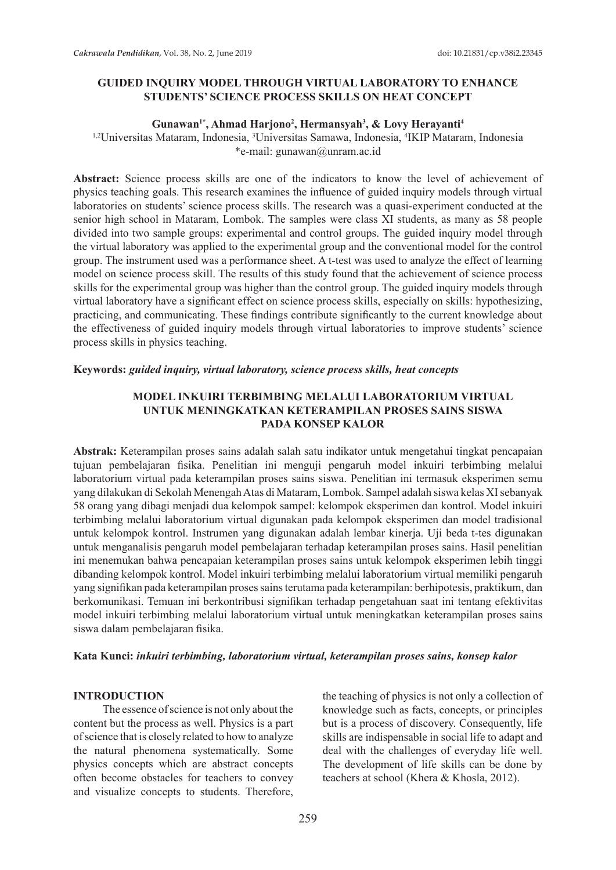## **GUIDED INQUIRY MODEL THROUGH VIRTUAL LABORATORY TO ENHANCE STUDENTS' SCIENCE PROCESS SKILLS ON HEAT CONCEPT**

#### **Gunawan1\*, Ahmad Harjono2 , Hermansyah3 , & Lovy Herayanti<sup>4</sup>**

<sup>1,2</sup>Universitas Mataram, Indonesia, <sup>3</sup>Universitas Samawa, Indonesia, <sup>4</sup>IKIP Mataram, Indonesia \*e-mail: gunawan@unram.ac.id

**Abstract:** Science process skills are one of the indicators to know the level of achievement of physics teaching goals. This research examines the influence of guided inquiry models through virtual laboratories on students' science process skills. The research was a quasi-experiment conducted at the senior high school in Mataram, Lombok. The samples were class XI students, as many as 58 people divided into two sample groups: experimental and control groups. The guided inquiry model through the virtual laboratory was applied to the experimental group and the conventional model for the control group. The instrument used was a performance sheet. A t-test was used to analyze the effect of learning model on science process skill. The results of this study found that the achievement of science process skills for the experimental group was higher than the control group. The guided inquiry models through virtual laboratory have a significant effect on science process skills, especially on skills: hypothesizing, practicing, and communicating. These findings contribute significantly to the current knowledge about the effectiveness of guided inquiry models through virtual laboratories to improve students' science process skills in physics teaching.

### **Keywords:** *guided inquiry, virtual laboratory, science process skills, heat concepts*

## **MODEL INKUIRI TERBIMBING MELALUI LABORATORIUM VIRTUAL UNTUK MENINGKATKAN KETERAMPILAN PROSES SAINS SISWA PADA KONSEP KALOR**

**Abstrak:** Keterampilan proses sains adalah salah satu indikator untuk mengetahui tingkat pencapaian tujuan pembelajaran fisika. Penelitian ini menguji pengaruh model inkuiri terbimbing melalui laboratorium virtual pada keterampilan proses sains siswa. Penelitian ini termasuk eksperimen semu yang dilakukan di Sekolah Menengah Atas di Mataram, Lombok. Sampel adalah siswa kelas XI sebanyak 58 orang yang dibagi menjadi dua kelompok sampel: kelompok eksperimen dan kontrol. Model inkuiri terbimbing melalui laboratorium virtual digunakan pada kelompok eksperimen dan model tradisional untuk kelompok kontrol. Instrumen yang digunakan adalah lembar kinerja. Uji beda t-tes digunakan untuk menganalisis pengaruh model pembelajaran terhadap keterampilan proses sains. Hasil penelitian ini menemukan bahwa pencapaian keterampilan proses sains untuk kelompok eksperimen lebih tinggi dibanding kelompok kontrol. Model inkuiri terbimbing melalui laboratorium virtual memiliki pengaruh yang signifikan pada keterampilan proses sains terutama pada keterampilan: berhipotesis, praktikum, dan berkomunikasi. Temuan ini berkontribusi signifikan terhadap pengetahuan saat ini tentang efektivitas model inkuiri terbimbing melalui laboratorium virtual untuk meningkatkan keterampilan proses sains siswa dalam pembelajaran fisika.

#### **Kata Kunci:** *inkuiri terbimbing, laboratorium virtual, keterampilan proses sains, konsep kalor*

#### **INTRODUCTION**

The essence of science is not only about the content but the process as well. Physics is a part of science that is closely related to how to analyze the natural phenomena systematically. Some physics concepts which are abstract concepts often become obstacles for teachers to convey and visualize concepts to students. Therefore, the teaching of physics is not only a collection of knowledge such as facts, concepts, or principles but is a process of discovery. Consequently, life skills are indispensable in social life to adapt and deal with the challenges of everyday life well. The development of life skills can be done by teachers at school (Khera & Khosla, 2012).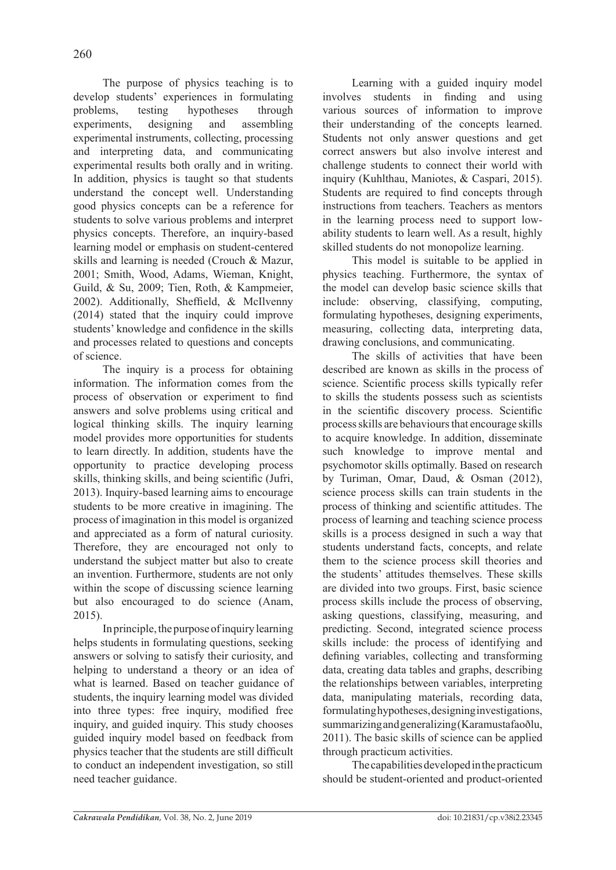The purpose of physics teaching is to develop students' experiences in formulating problems, testing hypotheses through experiments, designing and assembling experimental instruments, collecting, processing and interpreting data, and communicating experimental results both orally and in writing. In addition, physics is taught so that students understand the concept well. Understanding good physics concepts can be a reference for students to solve various problems and interpret physics concepts. Therefore, an inquiry-based learning model or emphasis on student-centered skills and learning is needed (Crouch & Mazur, 2001; Smith, Wood, Adams, Wieman, Knight, Guild, & Su, 2009; Tien, Roth, & Kampmeier, 2002). Additionally, Sheffield, & McIlvenny (2014) stated that the inquiry could improve students' knowledge and confidence in the skills and processes related to questions and concepts of science.

The inquiry is a process for obtaining information. The information comes from the process of observation or experiment to find answers and solve problems using critical and logical thinking skills. The inquiry learning model provides more opportunities for students to learn directly. In addition, students have the opportunity to practice developing process skills, thinking skills, and being scientific (Jufri, 2013). Inquiry-based learning aims to encourage students to be more creative in imagining. The process of imagination in this model is organized and appreciated as a form of natural curiosity. Therefore, they are encouraged not only to understand the subject matter but also to create an invention. Furthermore, students are not only within the scope of discussing science learning but also encouraged to do science (Anam, 2015).

In principle, the purpose of inquiry learning helps students in formulating questions, seeking answers or solving to satisfy their curiosity, and helping to understand a theory or an idea of what is learned. Based on teacher guidance of students, the inquiry learning model was divided into three types: free inquiry, modified free inquiry, and guided inquiry. This study chooses guided inquiry model based on feedback from physics teacher that the students are still difficult to conduct an independent investigation, so still need teacher guidance.

Learning with a guided inquiry model involves students in finding and using various sources of information to improve their understanding of the concepts learned. Students not only answer questions and get correct answers but also involve interest and challenge students to connect their world with inquiry (Kuhlthau, Maniotes, & Caspari, 2015). Students are required to find concepts through instructions from teachers. Teachers as mentors in the learning process need to support lowability students to learn well. As a result, highly skilled students do not monopolize learning.

This model is suitable to be applied in physics teaching. Furthermore, the syntax of the model can develop basic science skills that include: observing, classifying, computing, formulating hypotheses, designing experiments, measuring, collecting data, interpreting data, drawing conclusions, and communicating.

The skills of activities that have been described are known as skills in the process of science. Scientific process skills typically refer to skills the students possess such as scientists in the scientific discovery process. Scientific process skills are behaviours that encourage skills to acquire knowledge. In addition, disseminate such knowledge to improve mental and psychomotor skills optimally. Based on research by Turiman, Omar, Daud, & Osman (2012), science process skills can train students in the process of thinking and scientific attitudes. The process of learning and teaching science process skills is a process designed in such a way that students understand facts, concepts, and relate them to the science process skill theories and the students' attitudes themselves. These skills are divided into two groups. First, basic science process skills include the process of observing, asking questions, classifying, measuring, and predicting. Second, integrated science process skills include: the process of identifying and defining variables, collecting and transforming data, creating data tables and graphs, describing the relationships between variables, interpreting data, manipulating materials, recording data, formulating hypotheses, designing investigations, summarizing and generalizing (Karamustafaoðlu, 2011). The basic skills of science can be applied through practicum activities.

The capabilities developed in the practicum should be student-oriented and product-oriented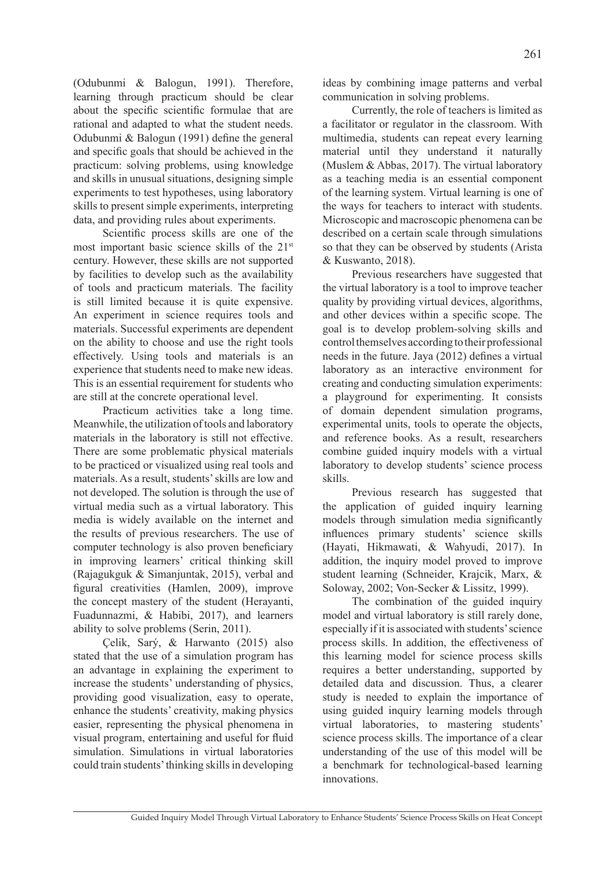(Odubunmi & Balogun, 1991). Therefore, learning through practicum should be clear about the specific scientific formulae that are rational and adapted to what the student needs. Odubunmi & Balogun (1991) define the general and specific goals that should be achieved in the practicum: solving problems, using knowledge and skills in unusual situations, designing simple experiments to test hypotheses, using laboratory skills to present simple experiments, interpreting data, and providing rules about experiments.

Scientific process skills are one of the most important basic science skills of the 21st century. However, these skills are not supported by facilities to develop such as the availability of tools and practicum materials. The facility is still limited because it is quite expensive. An experiment in science requires tools and materials. Successful experiments are dependent on the ability to choose and use the right tools effectively. Using tools and materials is an experience that students need to make new ideas. This is an essential requirement for students who are still at the concrete operational level.

Practicum activities take a long time. Meanwhile, the utilization of tools and laboratory materials in the laboratory is still not effective. There are some problematic physical materials to be practiced or visualized using real tools and materials. As a result, students' skills are low and not developed. The solution is through the use of virtual media such as a virtual laboratory. This media is widely available on the internet and the results of previous researchers. The use of computer technology is also proven beneficiary in improving learners' critical thinking skill (Rajagukguk & Simanjuntak, 2015), verbal and figural creativities (Hamlen, 2009), improve the concept mastery of the student (Herayanti, Fuadunnazmi, & Habibi, 2017), and learners ability to solve problems (Serin, 2011).

Çelik, Sarý, & Harwanto (2015) also stated that the use of a simulation program has an advantage in explaining the experiment to increase the students' understanding of physics, providing good visualization, easy to operate, enhance the students' creativity, making physics easier, representing the physical phenomena in visual program, entertaining and useful for fluid simulation. Simulations in virtual laboratories could train students' thinking skills in developing ideas by combining image patterns and verbal communication in solving problems.

Currently, the role of teachers is limited as a facilitator or regulator in the classroom. With multimedia, students can repeat every learning material until they understand it naturally (Muslem & Abbas, 2017). The virtual laboratory as a teaching media is an essential component of the learning system. Virtual learning is one of the ways for teachers to interact with students. Microscopic and macroscopic phenomena can be described on a certain scale through simulations so that they can be observed by students (Arista & Kuswanto, 2018).

Previous researchers have suggested that the virtual laboratory is a tool to improve teacher quality by providing virtual devices, algorithms, and other devices within a specific scope. The goal is to develop problem-solving skills and control themselves according to their professional needs in the future. Jaya (2012) defines a virtual laboratory as an interactive environment for creating and conducting simulation experiments: a playground for experimenting. It consists of domain dependent simulation programs, experimental units, tools to operate the objects, and reference books. As a result, researchers combine guided inquiry models with a virtual laboratory to develop students' science process skills.

Previous research has suggested that the application of guided inquiry learning models through simulation media significantly influences primary students' science skills (Hayati, Hikmawati, & Wahyudi, 2017). In addition, the inquiry model proved to improve student learning (Schneider, Krajcik, Marx, & Soloway, 2002; Von-Secker & Lissitz, 1999).

The combination of the guided inquiry model and virtual laboratory is still rarely done, especially if it is associated with students' science process skills. In addition, the effectiveness of this learning model for science process skills requires a better understanding, supported by detailed data and discussion. Thus, a clearer study is needed to explain the importance of using guided inquiry learning models through virtual laboratories, to mastering students' science process skills. The importance of a clear understanding of the use of this model will be a benchmark for technological-based learning innovations.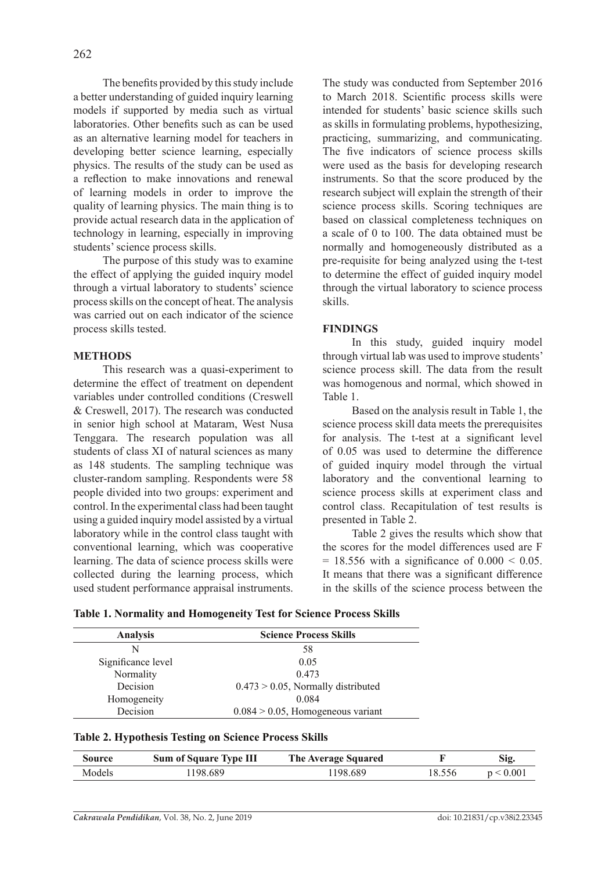The benefits provided by this study include a better understanding of guided inquiry learning models if supported by media such as virtual laboratories. Other benefits such as can be used as an alternative learning model for teachers in developing better science learning, especially physics. The results of the study can be used as a reflection to make innovations and renewal of learning models in order to improve the quality of learning physics. The main thing is to provide actual research data in the application of technology in learning, especially in improving students' science process skills.

The purpose of this study was to examine the effect of applying the guided inquiry model through a virtual laboratory to students' science process skills on the concept of heat. The analysis was carried out on each indicator of the science process skills tested.

### **Methods**

This research was a quasi-experiment to determine the effect of treatment on dependent variables under controlled conditions (Creswell & Creswell, 2017). The research was conducted in senior high school at Mataram, West Nusa Tenggara. The research population was all students of class XI of natural sciences as many as 148 students. The sampling technique was cluster-random sampling. Respondents were 58 people divided into two groups: experiment and control. In the experimental class had been taught using a guided inquiry model assisted by a virtual laboratory while in the control class taught with conventional learning, which was cooperative learning. The data of science process skills were collected during the learning process, which used student performance appraisal instruments. The study was conducted from September 2016 to March 2018. Scientific process skills were intended for students' basic science skills such as skills in formulating problems, hypothesizing, practicing, summarizing, and communicating. The five indicators of science process skills were used as the basis for developing research instruments. So that the score produced by the research subject will explain the strength of their science process skills. Scoring techniques are based on classical completeness techniques on a scale of 0 to 100. The data obtained must be normally and homogeneously distributed as a pre-requisite for being analyzed using the t-test to determine the effect of guided inquiry model through the virtual laboratory to science process skills.

## **Findings**

In this study, guided inquiry model through virtual lab was used to improve students' science process skill. The data from the result was homogenous and normal, which showed in Table 1.

Based on the analysis result in Table 1, the science process skill data meets the prerequisites for analysis. The t-test at a significant level of 0.05 was used to determine the difference of guided inquiry model through the virtual laboratory and the conventional learning to science process skills at experiment class and control class. Recapitulation of test results is presented in Table 2.

Table 2 gives the results which show that the scores for the model differences used are F  $= 18.556$  with a significance of  $0.000 < 0.05$ . It means that there was a significant difference in the skills of the science process between the

|  | Table 1. Normality and Homogeneity Test for Science Process Skills |  |  |  |
|--|--------------------------------------------------------------------|--|--|--|
|  |                                                                    |  |  |  |

| <b>Analysis</b>    | <b>Science Process Skills</b>         |  |  |  |
|--------------------|---------------------------------------|--|--|--|
| N                  | 58                                    |  |  |  |
| Significance level | 0.05                                  |  |  |  |
| Normality          | 0.473                                 |  |  |  |
| Decision           | $0.473 > 0.05$ , Normally distributed |  |  |  |
| Homogeneity        | 0.084                                 |  |  |  |
| Decision           | $0.084 > 0.05$ , Homogeneous variant  |  |  |  |

| Table 2. Hypothesis Testing on Science Process Skills |  |  |
|-------------------------------------------------------|--|--|
|                                                       |  |  |

| Source | <b>Sum of Square Type III</b> | The Average Squared |        | Sig.      |
|--------|-------------------------------|---------------------|--------|-----------|
| Models | 198.689                       | . 198 689           | 18.556 | p < 0.001 |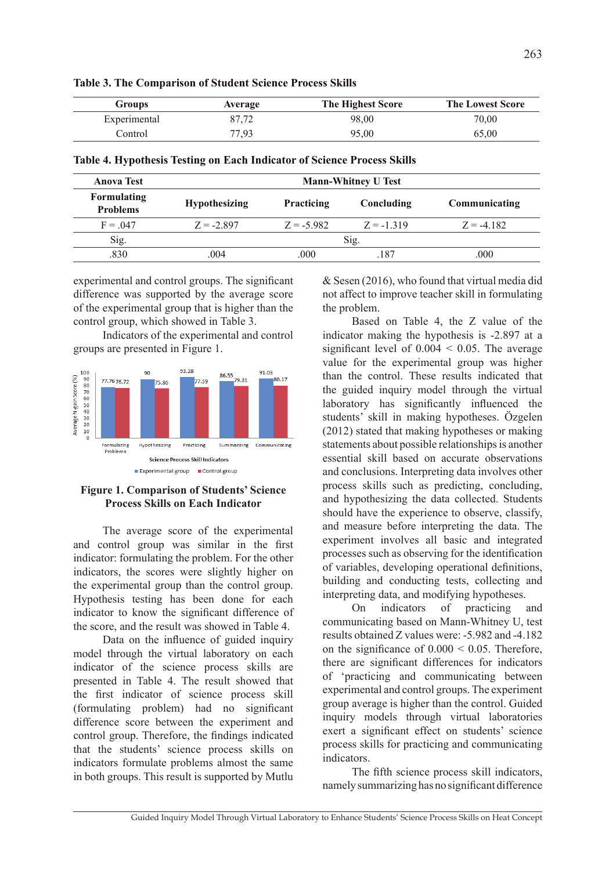| Groups       | Average | The Highest Score | <b>The Lowest Score</b> |
|--------------|---------|-------------------|-------------------------|
| Experimental | 87.72   | 98.00             | 70,00                   |
| Control      | 77.93   | 95.00             | 65,00                   |

**Table 3. The Comparison of Student Science Process Skills**

| Table 4. Hypothesis Testing on Each Indicator of Science Process Skills |  |  |  |
|-------------------------------------------------------------------------|--|--|--|
|                                                                         |  |  |  |

| <b>Anova Test</b>              |                      |                   | <b>Mann-Whitney U Test</b> |               |
|--------------------------------|----------------------|-------------------|----------------------------|---------------|
| Formulating<br><b>Problems</b> | <b>Hypothesizing</b> | <b>Practicing</b> | Concluding                 | Communicating |
| $F = 047$                      | $Z = -2.897$         | $Z = -5.982$      | $Z = -1319$                | $Z = -4182$   |
| Sig.                           |                      |                   | Sig.                       |               |
| .830                           | .004                 | .000              | 187                        | .000          |

experimental and control groups. The significant difference was supported by the average score of the experimental group that is higher than the control group, which showed in Table 3.

Indicators of the experimental and control groups are presented in Figure 1.



### **Figure 1. Comparison of Students' Science Process Skills on Each Indicator**

The average score of the experimental and control group was similar in the first indicator: formulating the problem. For the other indicators, the scores were slightly higher on the experimental group than the control group. Hypothesis testing has been done for each indicator to know the significant difference of the score, and the result was showed in Table 4.

Data on the influence of guided inquiry model through the virtual laboratory on each indicator of the science process skills are presented in Table 4. The result showed that the first indicator of science process skill (formulating problem) had no significant difference score between the experiment and control group. Therefore, the findings indicated that the students' science process skills on indicators formulate problems almost the same in both groups. This result is supported by Mutlu & Sesen (2016), who found that virtual media did not affect to improve teacher skill in formulating the problem.

Based on Table 4, the Z value of the indicator making the hypothesis is -2.897 at a significant level of  $0.004 \le 0.05$ . The average value for the experimental group was higher than the control. These results indicated that the guided inquiry model through the virtual laboratory has significantly influenced the students' skill in making hypotheses. Özgelen (2012) stated that making hypotheses or making statements about possible relationships is another essential skill based on accurate observations and conclusions. Interpreting data involves other process skills such as predicting, concluding, and hypothesizing the data collected. Students should have the experience to observe, classify, and measure before interpreting the data. The experiment involves all basic and integrated processes such as observing for the identification of variables, developing operational definitions, building and conducting tests, collecting and interpreting data, and modifying hypotheses.

On indicators of practicing and communicating based on Mann-Whitney U, test results obtained Z values were: -5.982 and -4.182 on the significance of  $0.000 \le 0.05$ . Therefore, there are significant differences for indicators of 'practicing and communicating between experimental and control groups. The experiment group average is higher than the control. Guided inquiry models through virtual laboratories exert a significant effect on students' science process skills for practicing and communicating indicators.

The fifth science process skill indicators, namely summarizing has no significant difference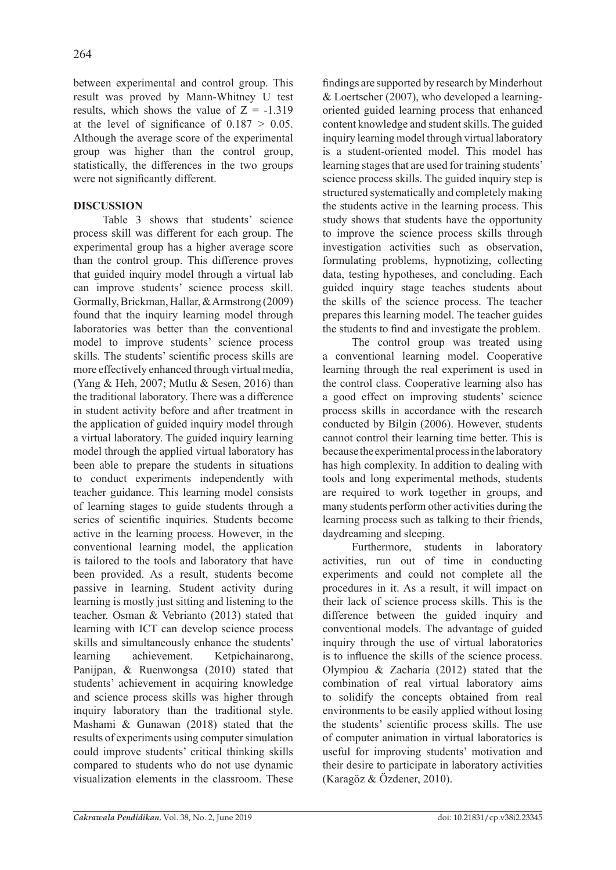between experimental and control group. This result was proved by Mann-Whitney U test results, which shows the value of  $Z = -1.319$ at the level of significance of  $0.187 > 0.05$ . Although the average score of the experimental group was higher than the control group, statistically, the differences in the two groups were not significantly different.

# **Discussion**

Table 3 shows that students' science process skill was different for each group. The experimental group has a higher average score than the control group. This difference proves that guided inquiry model through a virtual lab can improve students' science process skill. Gormally, Brickman, Hallar, & Armstrong (2009) found that the inquiry learning model through laboratories was better than the conventional model to improve students' science process skills. The students' scientific process skills are more effectively enhanced through virtual media, (Yang & Heh, 2007; Mutlu & Sesen, 2016) than the traditional laboratory. There was a difference in student activity before and after treatment in the application of guided inquiry model through a virtual laboratory. The guided inquiry learning model through the applied virtual laboratory has been able to prepare the students in situations to conduct experiments independently with teacher guidance. This learning model consists of learning stages to guide students through a series of scientific inquiries. Students become active in the learning process. However, in the conventional learning model, the application is tailored to the tools and laboratory that have been provided. As a result, students become passive in learning. Student activity during learning is mostly just sitting and listening to the teacher. Osman & Vebrianto (2013) stated that learning with ICT can develop science process skills and simultaneously enhance the students' learning achievement. Ketpichainarong, Panijpan, & Ruenwongsa (2010) stated that students' achievement in acquiring knowledge and science process skills was higher through inquiry laboratory than the traditional style. Mashami & Gunawan (2018) stated that the results of experiments using computer simulation could improve students' critical thinking skills compared to students who do not use dynamic visualization elements in the classroom. These findings are supported by research by Minderhout & Loertscher (2007), who developed a learningoriented guided learning process that enhanced content knowledge and student skills. The guided inquiry learning model through virtual laboratory is a student-oriented model. This model has learning stages that are used for training students' science process skills. The guided inquiry step is structured systematically and completely making the students active in the learning process. This study shows that students have the opportunity to improve the science process skills through investigation activities such as observation, formulating problems, hypnotizing, collecting data, testing hypotheses, and concluding. Each guided inquiry stage teaches students about the skills of the science process. The teacher prepares this learning model. The teacher guides the students to find and investigate the problem.

The control group was treated using a conventional learning model. Cooperative learning through the real experiment is used in the control class. Cooperative learning also has a good effect on improving students' science process skills in accordance with the research conducted by Bilgin (2006). However, students cannot control their learning time better. This is because the experimental process in the laboratory has high complexity. In addition to dealing with tools and long experimental methods, students are required to work together in groups, and many students perform other activities during the learning process such as talking to their friends, daydreaming and sleeping.

Furthermore, students in laboratory activities, run out of time in conducting experiments and could not complete all the procedures in it. As a result, it will impact on their lack of science process skills. This is the difference between the guided inquiry and conventional models. The advantage of guided inquiry through the use of virtual laboratories is to influence the skills of the science process. Olympiou & Zacharia (2012) stated that the combination of real virtual laboratory aims to solidify the concepts obtained from real environments to be easily applied without losing the students' scientific process skills. The use of computer animation in virtual laboratories is useful for improving students' motivation and their desire to participate in laboratory activities (Karagöz & Özdener, 2010).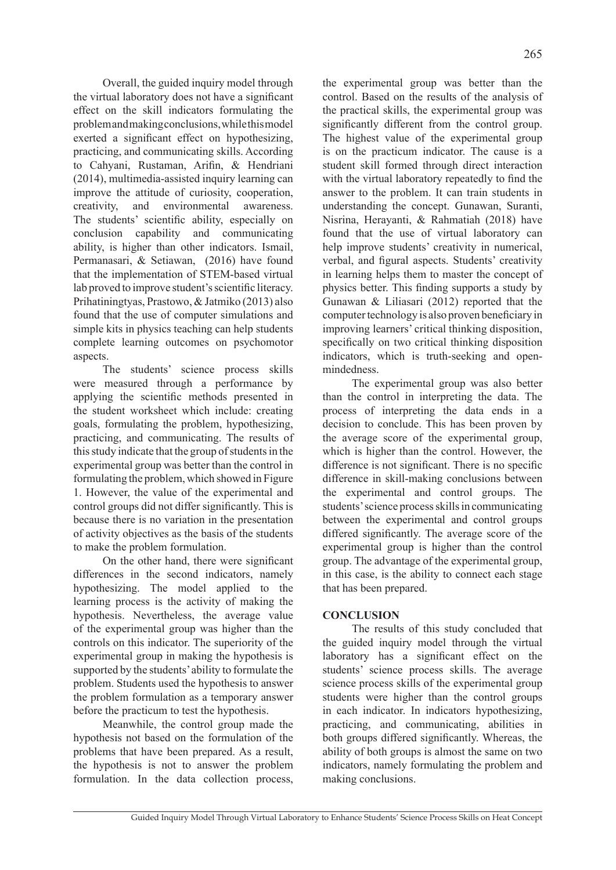Overall, the guided inquiry model through the virtual laboratory does not have a significant effect on the skill indicators formulating the problem and making conclusions, while this model exerted a significant effect on hypothesizing, practicing, and communicating skills. According to Cahyani, Rustaman, Arifin, & Hendriani (2014), multimedia-assisted inquiry learning can improve the attitude of curiosity, cooperation, creativity, and environmental awareness. The students' scientific ability, especially on conclusion capability and communicating ability, is higher than other indicators. Ismail, Permanasari, & Setiawan, (2016) have found that the implementation of STEM-based virtual lab proved to improve student's scientific literacy. Prihatiningtyas, Prastowo, & Jatmiko (2013) also found that the use of computer simulations and simple kits in physics teaching can help students complete learning outcomes on psychomotor aspects.

The students' science process skills were measured through a performance by applying the scientific methods presented in the student worksheet which include: creating goals, formulating the problem, hypothesizing, practicing, and communicating. The results of this study indicate that the group of students in the experimental group was better than the control in formulating the problem, which showed in Figure 1. However, the value of the experimental and control groups did not differ significantly. This is because there is no variation in the presentation of activity objectives as the basis of the students to make the problem formulation.

On the other hand, there were significant differences in the second indicators, namely hypothesizing. The model applied to the learning process is the activity of making the hypothesis. Nevertheless, the average value of the experimental group was higher than the controls on this indicator. The superiority of the experimental group in making the hypothesis is supported by the students' ability to formulate the problem. Students used the hypothesis to answer the problem formulation as a temporary answer before the practicum to test the hypothesis.

Meanwhile, the control group made the hypothesis not based on the formulation of the problems that have been prepared. As a result, the hypothesis is not to answer the problem formulation. In the data collection process, the experimental group was better than the control. Based on the results of the analysis of the practical skills, the experimental group was significantly different from the control group. The highest value of the experimental group is on the practicum indicator. The cause is a student skill formed through direct interaction with the virtual laboratory repeatedly to find the answer to the problem. It can train students in understanding the concept. Gunawan, Suranti, Nisrina, Herayanti, & Rahmatiah (2018) have found that the use of virtual laboratory can help improve students' creativity in numerical, verbal, and figural aspects. Students' creativity in learning helps them to master the concept of physics better. This finding supports a study by Gunawan & Liliasari (2012) reported that the computer technology is also proven beneficiary in improving learners' critical thinking disposition, specifically on two critical thinking disposition indicators, which is truth-seeking and openmindedness.

The experimental group was also better than the control in interpreting the data. The process of interpreting the data ends in a decision to conclude. This has been proven by the average score of the experimental group, which is higher than the control. However, the difference is not significant. There is no specific difference in skill-making conclusions between the experimental and control groups. The students' science process skills in communicating between the experimental and control groups differed significantly. The average score of the experimental group is higher than the control group. The advantage of the experimental group, in this case, is the ability to connect each stage that has been prepared.

# **Conclusion**

The results of this study concluded that the guided inquiry model through the virtual laboratory has a significant effect on the students' science process skills. The average science process skills of the experimental group students were higher than the control groups in each indicator. In indicators hypothesizing, practicing, and communicating, abilities in both groups differed significantly. Whereas, the ability of both groups is almost the same on two indicators, namely formulating the problem and making conclusions.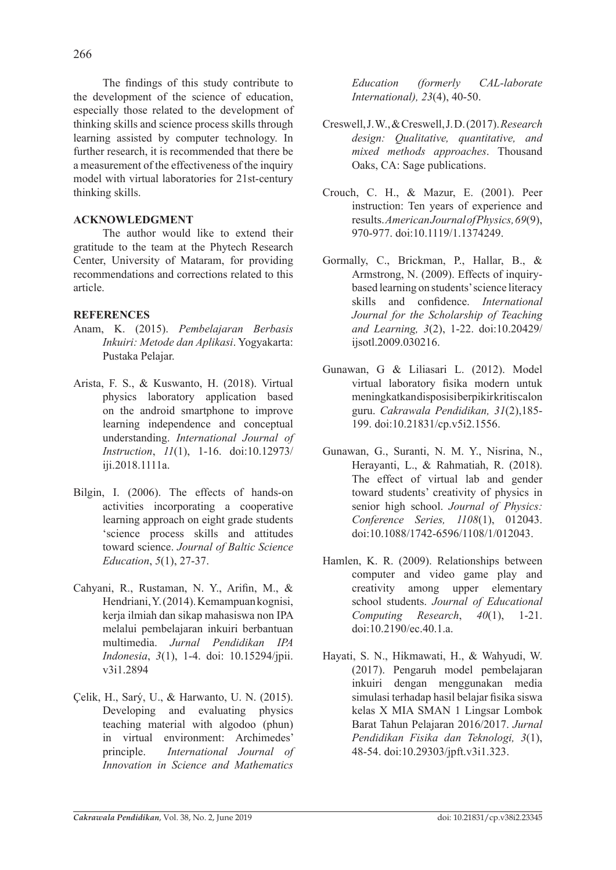The findings of this study contribute to the development of the science of education, especially those related to the development of thinking skills and science process skills through learning assisted by computer technology. In further research, it is recommended that there be a measurement of the effectiveness of the inquiry model with virtual laboratories for 21st-century thinking skills.

# **Acknowledgment**

The author would like to extend their gratitude to the team at the Phytech Research Center, University of Mataram, for providing recommendations and corrections related to this article.

# **References**

- Anam, K. (2015). *Pembelajaran Berbasis Inkuiri: Metode dan Aplikasi*. Yogyakarta: Pustaka Pelajar.
- Arista, F. S., & Kuswanto, H. (2018). Virtual physics laboratory application based on the android smartphone to improve learning independence and conceptual understanding. *International Journal of Instruction*, *11*(1), 1-16. doi:10.12973/ iji.2018.1111a.
- Bilgin, I. (2006). The effects of hands-on activities incorporating a cooperative learning approach on eight grade students 'science process skills and attitudes toward science. *Journal of Baltic Science Education*, *5*(1), 27-37.
- Cahyani, R., Rustaman, N. Y., Arifin, M., & Hendriani, Y. (2014). Kemampuan kognisi, kerja ilmiah dan sikap mahasiswa non IPA melalui pembelajaran inkuiri berbantuan multimedia. *Jurnal Pendidikan IPA Indonesia*, *3*(1), 1-4. doi: 10.15294/jpii. v3i1.2894
- Çelik, H., Sarý, U., & Harwanto, U. N. (2015). Developing and evaluating physics teaching material with algodoo (phun) in virtual environment: Archimedes' principle. *International Journal of Innovation in Science and Mathematics*

*Education (formerly CAL-laborate International), 23*(4), 40-50.

- Creswell, J. W., & Creswell, J. D. (2017).*Research design: Qualitative, quantitative, and mixed methods approaches*. Thousand Oaks, CA: Sage publications.
- Crouch, C. H., & Mazur, E. (2001). Peer instruction: Ten years of experience and results.*American Journal of Physics,69*(9), 970-977. doi:10.1119/1.1374249.
- Gormally, C., Brickman, P., Hallar, B., & Armstrong, N. (2009). Effects of inquirybased learning on students' science literacy skills and confidence. *International Journal for the Scholarship of Teaching and Learning, 3*(2), 1-22. doi:10.20429/ ijsotl.2009.030216.
- Gunawan, G & Liliasari L. (2012). Model virtual laboratory fisika modern untuk meningkatkan disposisi berpikir kritis calon guru. *Cakrawala Pendidikan, 31*(2),185- 199. doi:10.21831/cp.v5i2.1556.
- Gunawan, G., Suranti, N. M. Y., Nisrina, N., Herayanti, L., & Rahmatiah, R. (2018). The effect of virtual lab and gender toward students' creativity of physics in senior high school. *Journal of Physics: Conference Series, 1108*(1), 012043. doi:10.1088/1742-6596/1108/1/012043.
- Hamlen, K. R. (2009). Relationships between computer and video game play and creativity among upper elementary school students. *Journal of Educational Computing Research*, *40*(1), 1-21. doi:10.2190/ec.40.1.a.
- Hayati, S. N., Hikmawati, H., & Wahyudi, W. (2017). Pengaruh model pembelajaran inkuiri dengan menggunakan media simulasi terhadap hasil belajar fisika siswa kelas X MIA SMAN 1 Lingsar Lombok Barat Tahun Pelajaran 2016/2017. *Jurnal Pendidikan Fisika dan Teknologi, 3*(1), 48-54. doi:10.29303/jpft.v3i1.323.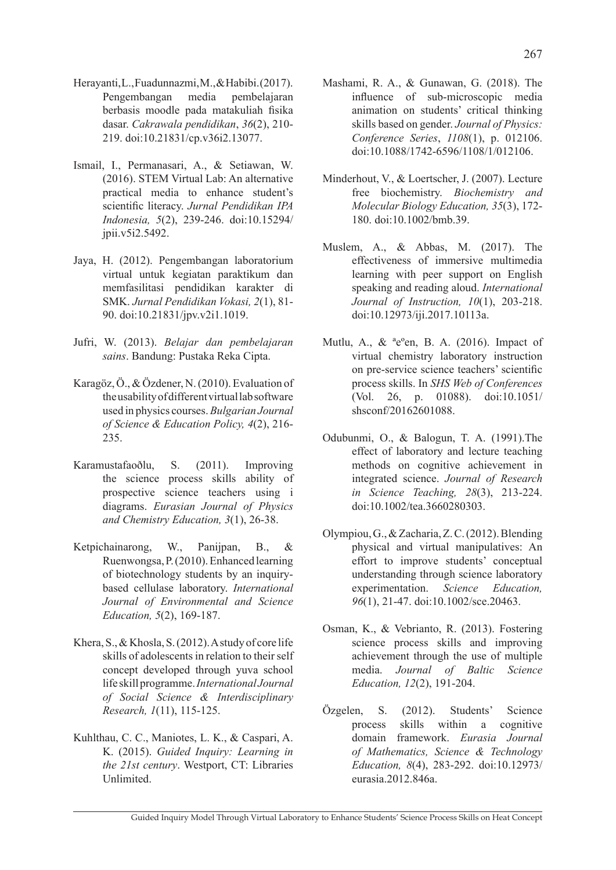- Herayanti, L., Fuadunnazmi, M., & Habibi. (2017). Pengembangan media pembelajaran berbasis moodle pada matakuliah fisika dasar. *Cakrawala pendidikan*, *36*(2), 210- 219. doi:10.21831/cp.v36i2.13077.
- Ismail, I., Permanasari, A., & Setiawan, W. (2016). STEM Virtual Lab: An alternative practical media to enhance student's scientific literacy. *Jurnal Pendidikan IPA Indonesia, 5*(2), 239-246. doi:10.15294/ jpii.v5i2.5492.
- Jaya, H. (2012). Pengembangan laboratorium virtual untuk kegiatan paraktikum dan memfasilitasi pendidikan karakter di SMK. *Jurnal Pendidikan Vokasi, 2*(1), 81- 90. doi:10.21831/jpv.v2i1.1019.
- Jufri, W. (2013). *Belajar dan pembelajaran sains*. Bandung: Pustaka Reka Cipta.
- Karagöz, Ö., & Özdener, N. (2010). Evaluation of the usability of different virtual lab software used in physics courses.*Bulgarian Journal of Science & Education Policy, 4*(2), 216- 235.
- Karamustafaoðlu, S. (2011). Improving the science process skills ability of prospective science teachers using i diagrams. *Eurasian Journal of Physics and Chemistry Education, 3*(1), 26-38.
- Ketpichainarong, W., Panijpan, B., & Ruenwongsa, P. (2010). Enhanced learning of biotechnology students by an inquirybased cellulase laboratory. *International Journal of Environmental and Science Education, 5*(2), 169-187.
- Khera, S., & Khosla, S. (2012). A study of core life skills of adolescents in relation to their self concept developed through yuva school life skill programme.*InternationalJournal of Social Science & Interdisciplinary Research, 1*(11), 115-125.
- Kuhlthau, C. C., Maniotes, L. K., & Caspari, A. K. (2015). *Guided Inquiry: Learning in the 21st century*. Westport, CT: Libraries Unlimited.
- Mashami, R. A., & Gunawan, G. (2018). The influence of sub-microscopic media animation on students' critical thinking skills based on gender. *Journal of Physics: Conference Series*, *1108*(1), p. 012106. doi:10.1088/1742-6596/1108/1/012106.
- Minderhout, V., & Loertscher, J. (2007). Lecture free biochemistry. *Biochemistry and Molecular Biology Education, 35*(3), 172- 180. doi:10.1002/bmb.39.
- Muslem, A., & Abbas, M. (2017). The effectiveness of immersive multimedia learning with peer support on English speaking and reading aloud. *International Journal of Instruction, 10*(1), 203-218. doi:10.12973/iji.2017.10113a.
- Mutlu, A., & ªeºen, B. A. (2016). Impact of virtual chemistry laboratory instruction on pre-service science teachers' scientific process skills. In *SHS Web of Conferences* (Vol. 26, p. 01088). doi:10.1051/ shsconf/20162601088.
- Odubunmi, O., & Balogun, T. A. (1991).The effect of laboratory and lecture teaching methods on cognitive achievement in integrated science. *Journal of Research in Science Teaching, 28*(3), 213-224. doi:10.1002/tea.3660280303.
- Olympiou, G., & Zacharia, Z. C. (2012). Blending physical and virtual manipulatives: An effort to improve students' conceptual understanding through science laboratory experimentation. *Science Education, 96*(1), 21-47. doi:10.1002/sce.20463.
- Osman, K., & Vebrianto, R. (2013). Fostering science process skills and improving achievement through the use of multiple media. *Journal of Baltic Science Education, 12*(2), 191-204.
- Özgelen, S. (2012). Students' Science process skills within a cognitive domain framework. *Eurasia Journal of Mathematics, Science & Technology Education, 8*(4), 283-292. doi:10.12973/ eurasia.2012.846a.